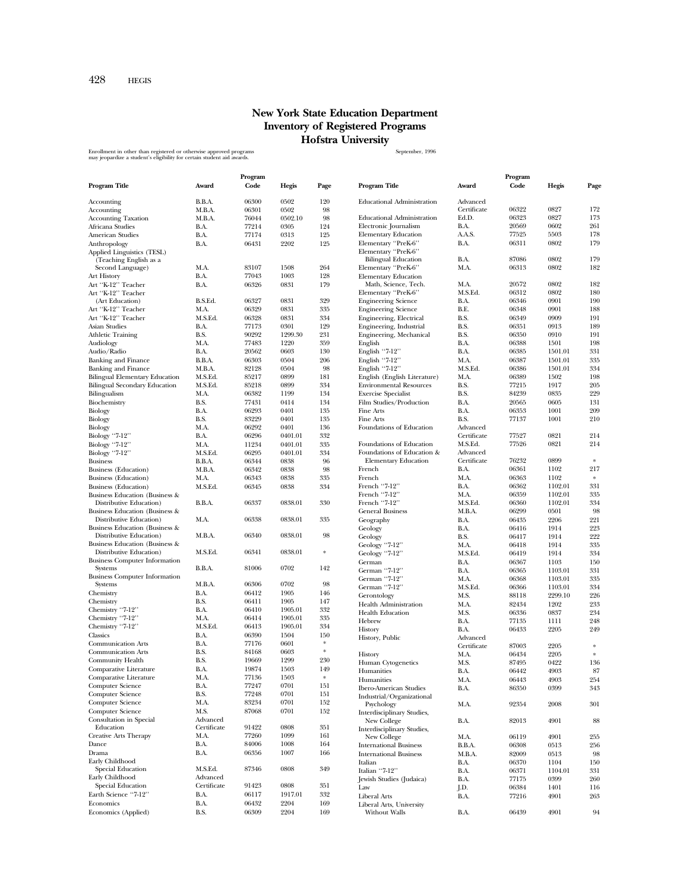## **New York State Education Department Inventory of Registered Programs Hofstra University**

Enrollment in other than registered or otherwise approved programs states and the state of the September, 1996<br>may jeopardize a student's eligibility for certain student aid awards.

|                                                 |              | Program |         |        |                                   |              | Program |         |        |
|-------------------------------------------------|--------------|---------|---------|--------|-----------------------------------|--------------|---------|---------|--------|
| <b>Program Title</b>                            | Award        | Code    | Hegis   | Page   | <b>Program Title</b>              | Award        | Code    | Hegis   | Page   |
|                                                 |              |         |         |        |                                   |              |         |         |        |
| Accounting                                      | B.B.A.       | 06300   | 0502    | 120    | <b>Educational Administration</b> | Advanced     |         |         |        |
| Accounting                                      | M.B.A.       | 06301   | 0502    | 98     |                                   | Certificate  | 06322   | 0827    | 172    |
| <b>Accounting Taxation</b>                      | M.B.A.       | 76044   | 0502.10 | 98     | <b>Educational Administration</b> | Ed.D.        | 06323   | 0827    | 173    |
| Africana Studies                                | B.A.         | 77214   | 0305    | 124    | Electronic Journalism             | B.A.         | 20569   | 0602    | 261    |
| American Studies                                | B.A.         | 77174   | 0313    | 125    | <b>Elementary Education</b>       | A.A.S.       | 77525   | 5503    | 178    |
| Anthropology                                    | B.A.         | 06431   | 2202    | 125    | Elementary "PreK-6"               | B.A.         | 06311   | 0802    | 179    |
| Applied Linguistics (TESL)                      |              |         |         |        | Elementary "PreK-6"               |              |         |         |        |
| (Teaching English as a                          |              |         |         |        | <b>Bilingual Education</b>        | B.A.         | 87086   | 0802    | 179    |
| Second Language)                                | M.A.         | 83107   | 1508    | 264    | Elementary "PreK-6"               | M.A.         | 06313   | 0802    | 182    |
| <b>Art History</b>                              | B.A.         | 77043   | 1003    | 128    | <b>Elementary Education</b>       |              |         |         |        |
| Art "K-12" Teacher                              | B.A.         | 06326   | 0831    | 179    | Math, Science, Tech.              | M.A.         | 20572   | 0802    | 182    |
| Art "K-12" Teacher                              |              |         |         |        | Elementary "PreK-6"               | M.S.Ed.      | 06312   | 0802    | 180    |
| (Art Education)                                 | B.S.Ed.      | 06327   | 0831    | 329    | <b>Engineering Science</b>        | B.A.         | 06346   | 0901    | 190    |
| Art "K-12" Teacher                              | M.A.         | 06329   | 0831    | 335    | <b>Engineering Science</b>        | B.E.         | 06348   | 0901    | 188    |
| Art "K-12" Teacher                              | M.S.Ed.      | 06328   | 0831    | 334    | Engineering, Electrical           | B.S.         | 06349   | 0909    | 191    |
| Asian Studies                                   | B.A.         | 77173   | 0301    | 129    | Engineering, Industrial           | B.S.         | 06351   | 0913    | 189    |
| <b>Athletic Training</b>                        | B.S.         | 90292   | 1299.30 | 231    | Engineering, Mechanical           | B.S.         | 06350   | 0910    | 191    |
|                                                 |              | 77483   | 1220    | 359    |                                   |              | 06388   | 1501    | 198    |
| Audiology                                       | M.A.<br>B.A. |         | 0603    | 130    | English                           | B.A.<br>B.A. |         |         | 331    |
| Audio/Radio                                     |              | 20562   |         |        | English "7-12"                    |              | 06385   | 1501.01 |        |
| <b>Banking and Finance</b>                      | B.B.A.       | 06303   | 0504    | 206    | English "7-12"                    | M.A.         | 06387   | 1501.01 | 335    |
| <b>Banking and Finance</b>                      | M.B.A.       | 82128   | 0504    | 98     | English "7-12"                    | M.S.Ed.      | 06386   | 1501.01 | 334    |
| <b>Bilingual Elementary Education</b>           | M.S.Ed.      | 85217   | 0899    | 181    | English (English Literature)      | M.A.         | 06389   | 1502    | 198    |
| <b>Bilingual Secondary Education</b>            | M.S.Ed.      | 85218   | 0899    | 334    | <b>Environmental Resources</b>    | B.S.         | 77215   | 1917    | 205    |
| Bilingualism                                    | M.A.         | 06382   | 1199    | 134    | <b>Exercise Specialist</b>        | B.S.         | 84239   | 0835    | 229    |
| Biochemistry                                    | B.S.         | 77431   | 0414    | 134    | Film Studies/Production           | B.A.         | 20565   | 0605    | 131    |
| Biology                                         | B.A.         | 06293   | 0401    | 135    | Fine Arts                         | B.A.         | 06353   | 1001    | 209    |
| Biology                                         | B.S.         | 83229   | 0401    | 135    | Fine Arts                         | B.S.         | 77137   | 1001    | 210    |
| Biology                                         | M.A.         | 06292   | 0401    | 136    | Foundations of Education          | Advanced     |         |         |        |
| Biology "7-12"                                  | B.A.         | 06296   | 0401.01 | 332    |                                   | Certificate  | 77527   | 0821    | 214    |
| Biology "7-12"                                  | M.A.         | 11234   | 0401.01 | 335    | Foundations of Education          | M.S.Ed.      | 77526   | 0821    | 214    |
| Biology "7-12"                                  | M.S.Ed.      | 06295   | 0401.01 | 334    | Foundations of Education &        | Advanced     |         |         |        |
| <b>Business</b>                                 | B.B.A.       | 06344   | 0838    | 96     | <b>Elementary Education</b>       | Certificate  | 76232   | 0899    | $\ast$ |
| <b>Business</b> (Education)                     | M.B.A.       | 06342   | 0838    | 98     | French                            | B.A.         | 06361   | 1102    | 217    |
| <b>Business</b> (Education)                     | M.A.         | 06343   | 0838    | 335    | French                            | M.A.         | 06363   | 1102    | $\ast$ |
| Business (Education)                            | M.S.Ed.      | 06345   | 0838    | 334    | French "7-12"                     | B.A.         | 06362   | 1102.01 | 331    |
| Business Education (Business &                  |              |         |         |        | French "7-12"                     | M.A.         | 06359   | 1102.01 | 335    |
| Distributive Education)                         | B.B.A.       | 06337   | 0838.01 | 330    | French "7-12"                     | M.S.Ed.      | 06360   | 1102.01 | 334    |
| <b>Business Education (Business &amp;</b>       |              |         |         |        | <b>General Business</b>           | M.B.A.       | 06299   | 0501    | 98     |
| Distributive Education)                         | M.A.         | 06338   | 0838.01 | 335    |                                   |              |         | 2206    | 221    |
| Business Education (Business &                  |              |         |         |        | Geography                         | B.A.         | 06435   | 1914    | 223    |
| Distributive Education)                         | M.B.A.       | 06340   | 0838.01 | 98     | Geology                           | B.A.         | 06416   |         | 222    |
| Business Education (Business &                  |              |         |         |        | Geology                           | B.S.         | 06417   | 1914    |        |
| Distributive Education)                         | M.S.Ed.      | 06341   | 0838.01 | $\ast$ | Geology "7-12"                    | ${\rm M.A.}$ | 06418   | 1914    | 335    |
|                                                 |              |         |         |        | Geology "7-12"                    | M.S.Ed.      | 06419   | 1914    | 334    |
| <b>Business Computer Information</b><br>Systems | B.B.A.       | 81006   | 0702    | 142    | German                            | B.A.         | 06367   | 1103    | 150    |
|                                                 |              |         |         |        | German "7-12"                     | B.A.         | 06365   | 1103.01 | 331    |
| <b>Business Computer Information</b>            | M.B.A.       | 06306   | 0702    | 98     | German "7-12"                     | M.A.         | 06368   | 1103.01 | 335    |
| Systems                                         | B.A.         | 06412   | 1905    | 146    | German "7-12"                     | M.S.Ed.      | 06366   | 1103.01 | 334    |
| Chemistry                                       |              |         |         |        | Gerontology                       | M.S.         | 88118   | 2299.10 | 226    |
| Chemistry                                       | B.S.         | 06411   | 1905    | 147    | <b>Health Administration</b>      | M.A.         | 82434   | 1202    | 233    |
| Chemistry "7-12"                                | B.A.         | 06410   | 1905.01 | 332    | <b>Health Education</b>           | M.S.         | 06336   | 0837    | 234    |
| Chemistry "7-12"                                | M.A.         | 06414   | 1905.01 | 335    | Hebrew                            | B.A.         | 77135   | 1111    | 248    |
| Chemistry "7-12"                                | M.S.Ed.      | 06413   | 1905.01 | 334    | History                           | B.A.         | 06433   | 2205    | 249    |
| Classics                                        | B.A.         | 06390   | 1504    | 150    | History, Public                   | Advanced     |         |         |        |
| <b>Communication Arts</b>                       | B.A.         | 77176   | 0601    | *      |                                   | Certificate  | 87003   | 2205    | $\ast$ |
| <b>Communication Arts</b>                       | B.S.         | 84168   | 0603    | $\ast$ | History                           | M.A.         | 06434   | 2205    | $\ast$ |
| Community Health                                | B.S.         | 19669   | 1299    | 230    | Human Cytogenetics                | M.S.         | 87495   | 0422    | 136    |
| Comparative Literature                          | B.A.         | 19874   | 1503    | 149    | Humanities                        | B.A.         | 06442   | 4903    | 87     |
| Comparative Literature                          | M.A.         | 77136   | 1503    | $\ast$ | Humanities                        | M.A.         | 06443   | 4903    | 254    |
| Computer Science                                | B.A.         | 77247   | 0701    | 151    | <b>Ibero-American Studies</b>     | B.A.         | 86350   | 0399    | 343    |
| Computer Science                                | B.S.         | 77248   | 0701    | 151    | Industrial/Organizational         |              |         |         |        |
| Computer Science                                | M.A.         | 83234   | 0701    | 152    | Psychology                        | M.A.         | 92354   | 2008    | 301    |
| Computer Science                                | M.S.         | 87068   | 0701    | 152    | Interdisciplinary Studies,        |              |         |         |        |
| Consultation in Special                         | Advanced     |         |         |        | New College                       | B.A.         | 82013   | 4901    | 88     |
| Education                                       | Certificate  | 91422   | 0808    | 351    | Interdisciplinary Studies,        |              |         |         |        |
| <b>Creative Arts Therapy</b>                    | M.A.         | 77260   | 1099    | 161    | New College                       | M.A.         | 06119   | 4901    | 255    |
| Dance                                           | B.A.         | 84006   | 1008    | 164    |                                   |              |         |         | 256    |
| Drama                                           | B.A.         | 06356   | 1007    | 166    | <b>International Business</b>     | B.B.A.       | 06308   | 0513    |        |
| Early Childhood                                 |              |         |         |        | <b>International Business</b>     | M.B.A.       | 82009   | 0513    | 98     |
| Special Education                               | M.S.Ed.      | 87346   | 0808    | 349    | Italian                           | B.A.         | 06370   | 1104    | 150    |
| Early Childhood                                 | Advanced     |         |         |        | Italian "7-12"                    | B.A.         | 06371   | 1104.01 | 331    |
| Special Education                               | Certificate  | 91423   | 0808    | 351    | Jewish Studies (Judaica)          | B.A.         | 77175   | 0399    | 260    |
|                                                 |              |         |         |        | Law                               | J.D.         | 06384   | 1401    | 116    |
| Earth Science "7-12"                            | B.A.         | 06117   | 1917.01 | 332    | <b>Liberal Arts</b>               | B.A.         | 77216   | 4901    | 263    |
| Economics                                       | B.A.         | 06432   | 2204    | 169    | Liberal Arts, University          |              |         |         |        |
| Economics (Applied)                             | B.S.         | 06309   | 2204    | 169    | Without Walls                     | B.A.         | 06439   | 4901    | 94     |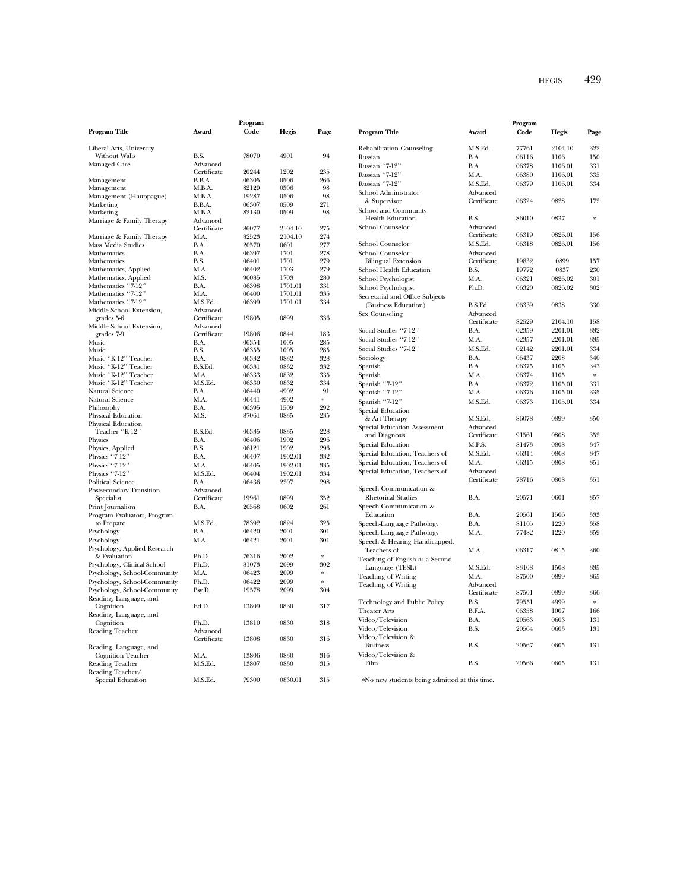## HEGIS 429

|                                          |              | Program        |                 |              |                     |
|------------------------------------------|--------------|----------------|-----------------|--------------|---------------------|
| Program Title                            | Award        | Code           | Hegis           | Page         | Progran             |
| Liberal Arts, University                 |              |                |                 |              | Rehabil             |
| Without Walls                            | B.S.         | 78070          | 4901            | 94           | Russian             |
| Managed Care                             | Advanced     |                |                 |              | Russian             |
|                                          | Certificate  | 20244          | 1202            | 235          | Russian             |
| Management                               | B.B.A.       | 06305          | 0506            | 266          | Russian             |
| Management                               | M.B.A.       | 82129          | 0506            | 98           |                     |
| Management (Hauppague)                   | M.B.A.       | 19287          | 0506            | 98           | School .<br>& Sup   |
| Marketing                                | B.B.A.       | 06307          | 0509            | 271          |                     |
| Marketing                                | M.B.A.       | 82130          | 0509            | 98           | School:<br>Healt    |
| Marriage & Family Therapy                | Advanced     |                |                 |              | School (            |
|                                          | Certificate  | 86077          | 2104.10         | 275          |                     |
| Marriage & Family Therapy                | M.A.<br>B.A. | 82523          | 2104.10<br>0601 | 274<br>277   | School (            |
| Mass Media Studies                       |              | 20570          |                 | 278          |                     |
| Mathematics<br>Mathematics               | B.A.<br>B.S. | 06397<br>06401 | 1701<br>1701    | 279          | School (<br>Biling  |
| Mathematics, Applied                     | M.A.         | 06402          | 1703            | 279          |                     |
| Mathematics, Applied                     | M.S.         | 90085          | 1703            | 280          | School l            |
| Mathematics "7-12"                       | B.A.         | 06398          | 1701.01         | 331          | School 1            |
| Mathematics "7-12"                       | M.A.         | 06400          | 1701.01         | 335          | School 1            |
| Mathematics "7-12"                       | M.S.Ed.      | 06399          | 1701.01         | 334          | Secretar            |
| Middle School Extension,                 | Advanced     |                |                 |              | (Busi               |
| grades 5-6                               | Certificate  | 19805          | 0899            | 336          | Sex Cou             |
| Middle School Extension,                 | Advanced     |                |                 |              |                     |
| grades 7-9                               | Certificate  | 19806          | 0844            | 183          | Social S            |
| Music                                    | B.A.         | 06354          | 1005            | 285          | Social S            |
| Music                                    | B.S.         | 06355          | 1005            | 285          | Social S            |
| Music "K-12" Teacher                     | R A          | 06332          | 0832            | 328          | Sociolog            |
| Music "K-12" Teacher                     | B.S.Ed.      | 06331          | 0832            | 332          | Spanish             |
| Music "K-12" Teacher                     | M.A.         | 06333          | 0832            | 335          | Spanish             |
| Music "K-12" Teacher                     | M.S.Ed.      | 06330          | 0832            | 334          | Spanish             |
| Natural Science                          | B.A.         | 06440          | 4902            | 91<br>$\ast$ | Spanish             |
| Natural Science                          | M.A.<br>B.A. | 06441<br>06395 | 4902<br>1509    | 292          | Spanish             |
| Philosophy                               | M.S.         | 87061          | 0835            | 235          | Special             |
| Physical Education<br>Physical Education |              |                |                 |              | & Art               |
| Teacher "K-12"                           | B.S.Ed.      | 06335          | 0835            | 228          | Special             |
| Physics                                  | B.A.         | 06406          | 1902            | 296          | and I               |
| Physics, Applied                         | B.S.         | 06121          | 1902            | 296          | Special             |
| Physics "7-12"                           | B.A.         | 06407          | 1902.01         | 332          | Special :           |
| Physics "7-12"                           | M.A.         | 06405          | 1902.01         | 335          | Special             |
| Physics "7-12"                           | M.S.Ed.      | 06404          | 1902.01         | 334          | Special             |
| Political Science                        | B.A.         | 06436          | 2207            | 298          |                     |
| Postsecondary Transition                 | Advanced     |                |                 |              | Speech              |
| Specialist                               | Certificate  | 19961          | 0899            | 352          | Rheto               |
| Print Journalism                         | B.A.         | 20568          | 0602            | 261          | Speech              |
| Program Evaluators, Program              |              |                |                 |              | Educa               |
| to Prepare                               | M.S.Ed.      | 78392          | 0824            | 325          | Speech-             |
| Psychology                               | B.A.         | 06420          | 2001            | 301          | Speech-             |
| Psychology                               | M.A.         | 06421          | 2001            | 301          | Speech              |
| Psychology, Applied Research             |              |                |                 |              | Teach               |
| & Evaluation                             | Ph.D.        | 76316          | 2002            | $\ast$       | Teachin             |
| Psychology, Clinical-School              | Ph.D.        | 81073          | 2099            | 302          | Lang                |
| Psychology, School-Community             | M.A.         | 06423          | 2099            | $\ast$       | Teachin             |
| Psychology, School-Community             | Ph.D.        | 06422          | 2099            | ×            | Teachin             |
| Psychology, School-Community             | Psy.D.       | 19578          | 2099            | 304          |                     |
| Reading, Language, and                   |              |                |                 |              | Techno              |
| Cognition                                | Ed.D.        | 13809          | 0830            | 317          | Theater             |
| Reading, Language, and                   |              |                |                 |              | Video/7             |
| Cognition                                | Ph.D.        | 13810          | 0830            | 318          | Video/7             |
| Reading Teacher                          | Advanced     |                |                 |              | Video/ <sup>7</sup> |
|                                          | Certificate  | 13808          | 0830            | 316          | Busin               |
| Reading, Language, and                   |              |                |                 |              | Video/7             |
| <b>Cognition Teacher</b>                 | M.A.         | 13806          | 0830            | 316          | Film                |
| Reading Teacher                          | M.S.Ed.      | 13807          | 0830            | 315          |                     |
| Reading Teacher/                         | M.S.Ed.      | 79300          | 0830.01         | 315          | *No ne              |
| Special Education                        |              |                |                 |              |                     |

| Program Title                       | Award       | Program<br>Code | Hegis   | Page   |
|-------------------------------------|-------------|-----------------|---------|--------|
| <b>Rehabilitation Counseling</b>    | M.S.Ed.     | 77761           | 2104.10 | 322    |
| Russian                             | B.A.        | 06116           | 1106    | 150    |
| Russian "7-12"                      | B.A.        | 06378           | 1106.01 | 331    |
| Russian ''7-12''                    | M.A.        | 06380           | 1106.01 | 335    |
| Russian "7-12"                      | M.S.Ed.     | 06379           | 1106.01 | 334    |
| School Administrator                | Advanced    |                 |         |        |
| & Supervisor                        | Certificate | 06324           | 0828    | 172    |
| School and Community                |             |                 |         |        |
| <b>Health Education</b>             | B.S.        | 86010           | 0837    | $\ast$ |
| <b>School Counselor</b>             | Advanced    |                 |         |        |
|                                     | Certificate | 06319           | 0826.01 | 156    |
| <b>School Counselor</b>             | M.S.Ed.     | 06318           | 0826.01 | 156    |
| <b>School Counselor</b>             | Advanced    |                 |         |        |
| <b>Bilingual Extension</b>          | Certificate | 19832           | 0899    | 157    |
| School Health Education             | B.S.        | 19772           | 0837    | 230    |
| School Psychologist                 | M.A.        | 06321           | 0826.02 | 301    |
| <b>School Psychologist</b>          | Ph.D.       | 06320           | 0826.02 | 302    |
| Secretarial and Office Subjects     |             |                 |         |        |
| (Business Education)                | B.S.Ed.     | 06339           | 0838    | 330    |
| Sex Counseling                      | Advanced    |                 |         |        |
|                                     | Certificate | 82529           | 2104.10 | 158    |
| Social Studies "7-12"               | B.A.        | 02359           | 2201.01 | 332    |
| Social Studies "7-12"               | M.A.        | 02357           | 2201.01 | 335    |
| Social Studies "7-12"               | M.S.Ed.     | 02142           | 2201.01 | 334    |
| Sociology                           | B.A.        | 06437           | 2208    | 340    |
| Spanish                             | B.A.        | 06375           | 1105    | 343    |
| Spanish                             | M.A.        | 06374           | 1105    | $\ast$ |
| Spanish "7-12"                      | B.A.        | 06372           | 1105.01 | 331    |
| Spanish "7-12"                      | МA          | 06376           | 1105.01 | 335    |
| Spanish "7-12"                      | M.S.Ed.     | 06373           | 1105.01 | 334    |
| <b>Special Education</b>            |             |                 |         |        |
| & Art Therapy                       | M.S.Ed.     | 86078           | 0899    | 350    |
| <b>Special Education Assessment</b> | Advanced    |                 |         |        |
| and Diagnosis                       | Certificate | 91561           | 0808    | 352    |
| <b>Special Education</b>            | M.P.S.      | 81473           | 0808    | 347    |
| Special Education, Teachers of      | M.S.Ed.     | 06314           | 0808    | 347    |
| Special Education, Teachers of      | M.A.        | 06315           | 0808    | 351    |
| Special Education, Teachers of      | Advanced    |                 |         |        |
|                                     | Certificate | 78716           | 0808    | 351    |
| Speech Communication &              |             |                 |         |        |
| <b>Rhetorical Studies</b>           | B.A.        | 20571           | 0601    | 357    |
| Speech Communication &              |             |                 |         |        |
| Education                           | B.A.        | 20561           | 1506    | 333    |
| Speech-Language Pathology           | B.A.        | 81105           | 1220    | 358    |
| Speech-Language Pathology           | M.A.        | 77482           | 1220    | 359    |
| Speech & Hearing Handicapped,       |             |                 |         |        |
| Teachers of                         | M.A.        | 06317           | 0815    | 360    |
| Teaching of English as a Second     |             |                 |         |        |
| Language (TESL)                     | M.S.Ed.     | 83108           | 1508    | 335    |
| Teaching of Writing                 | M.A.        | 87500           | 0899    | 365    |
| Teaching of Writing                 | Advanced    |                 |         |        |
|                                     | Certificate | 87501           | 0899    | 366    |
| Technology and Public Policy        | B.S.        | 79551           | 4999    | $\ast$ |
| <b>Theater Arts</b>                 | B.F.A.      | 06358           | 1007    | 166    |
| Video/Television                    | B.A.        | 20563           | 0603    | 131    |
| Video/Television                    | B.S.        | 20564           | 0603    | 131    |
| Video/Television &                  |             |                 |         |        |
| <b>Business</b>                     | B.S.        | 20567           | 0605    | 131    |
| Video/Television &                  |             |                 |         |        |
| Film                                | B.S.        | 20566           | 0605    | 131    |
|                                     |             |                 |         |        |

ew students being admitted at this time.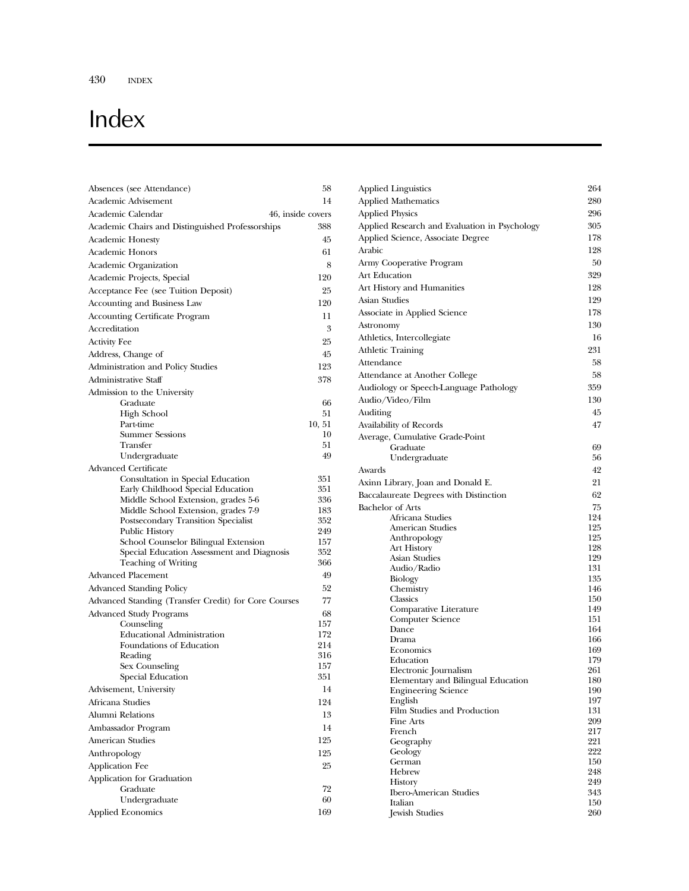# Index

| Absences (see Attendance)                              | 58         |
|--------------------------------------------------------|------------|
| Academic Advisement                                    | 14         |
| Academic Calendar<br>46, inside covers                 |            |
| Academic Chairs and Distinguished Professorships       | 388        |
| <b>Academic Honesty</b>                                | 45         |
| Academic Honors                                        | 61         |
| Academic Organization                                  | 8          |
| Academic Projects, Special                             | 120        |
| Acceptance Fee (see Tuition Deposit)                   | 25         |
| Accounting and Business Law                            | 120        |
| Accounting Certificate Program                         | 11         |
| Accreditation                                          | 3          |
| <b>Activity Fee</b>                                    | 25         |
| Address, Change of                                     | 45         |
| Administration and Policy Studies                      | 123        |
| Administrative Staff                                   | 378        |
| Admission to the University                            |            |
| Graduate                                               | 66         |
| High School                                            | 51         |
| Part-time                                              | 10, 51     |
| <b>Summer Sessions</b>                                 | 10<br>51   |
| Transfer<br>Undergraduate                              | 49         |
| <b>Advanced Certificate</b>                            |            |
| Consultation in Special Education                      | 351        |
| Early Childhood Special Education                      | 351        |
| Middle School Extension, grades 5-6                    | 336        |
| Middle School Extension, grades 7-9                    | 183        |
| Postsecondary Transition Specialist                    | 352        |
| Public History<br>School Counselor Bilingual Extension | 249<br>157 |
| Special Education Assessment and Diagnosis             | 352        |
| <b>Teaching of Writing</b>                             | 366        |
| <b>Advanced Placement</b>                              | 49         |
| <b>Advanced Standing Policy</b>                        | 52         |
| Advanced Standing (Transfer Credit) for Core Courses   | 77         |
| Advanced Study Programs                                | 68         |
| Counseling                                             | 157        |
| <b>Educational Administration</b>                      | 172        |
| Foundations of Education                               | 214        |
| Reading                                                | 316        |
| Sex Counseling<br>Special Education                    | 157<br>351 |
|                                                        | 14         |
| Advisement, University                                 |            |
| Africana Studies                                       | 124        |
| Alumni Relations                                       | 13         |
| Ambassador Program                                     | 14         |
| <b>American Studies</b>                                | 125        |
| Anthropology                                           | 125        |
| Application Fee                                        | 25         |
| Application for Graduation                             |            |
| Graduate<br>Undergraduate                              | 72<br>60   |
| <b>Applied Economics</b>                               | 169        |
|                                                        |            |

| Applied Linguistics                             | 264        |
|-------------------------------------------------|------------|
| <b>Applied Mathematics</b>                      | 280        |
| <b>Applied Physics</b>                          | 296        |
| Applied Research and Evaluation in Psychology   | 305        |
| Applied Science, Associate Degree               | 178        |
| Arabic                                          | 128        |
| Army Cooperative Program                        | 50         |
| Art Education                                   | 329        |
| Art History and Humanities                      | 128        |
| Asian Studies                                   | 129        |
|                                                 |            |
| Associate in Applied Science                    | 178        |
| Astronomy                                       | 130        |
| Athletics, Intercollegiate                      | 16         |
| Athletic Training                               | 231        |
| Attendance                                      | 58         |
| Attendance at Another College                   | 58         |
| Audiology or Speech-Language Pathology          | 359        |
| Audio/Video/Film                                | 130        |
| Auditing                                        | 45         |
| Availability of Records                         | 47         |
| Average, Cumulative Grade-Point                 |            |
| Graduate                                        | 69         |
| Undergraduate                                   | 56         |
| Awards                                          | 42         |
| Axinn Library, Joan and Donald E.               | 21         |
| Baccalaureate Degrees with Distinction          | 62         |
| Bachelor of Arts                                | 75         |
| Africana Studies                                | 124        |
| American Studies                                | 125        |
| Anthropology                                    | 125        |
| Art History                                     | 128        |
| Asian Studies                                   | 129        |
| Audio/Radio                                     | 131        |
| <b>Biology</b>                                  | 135        |
| Chemistry                                       | 146        |
| Classics                                        | 150        |
| Comparative Literature<br>Computer Science      | 149<br>151 |
| Dance                                           | 164        |
| Drama                                           | 166        |
| Economics                                       | 169        |
| Education                                       | 179        |
| Electronic Journalism                           | 261        |
| Elementary and Bilingual Education              | 180        |
| <b>Engineering Science</b>                      | 190        |
| English                                         | 197        |
| Film Studies and Production<br><b>Fine Arts</b> | 131        |
| French                                          | 209<br>217 |
| Geography                                       | 221        |
| Geology                                         | 222        |
| German                                          | 150        |
| Hebrew                                          | 248        |
| <b>History</b>                                  | 249        |
| <b>Ibero-American Studies</b>                   | 343        |
| Italian                                         | 150        |

Jewish Studies 260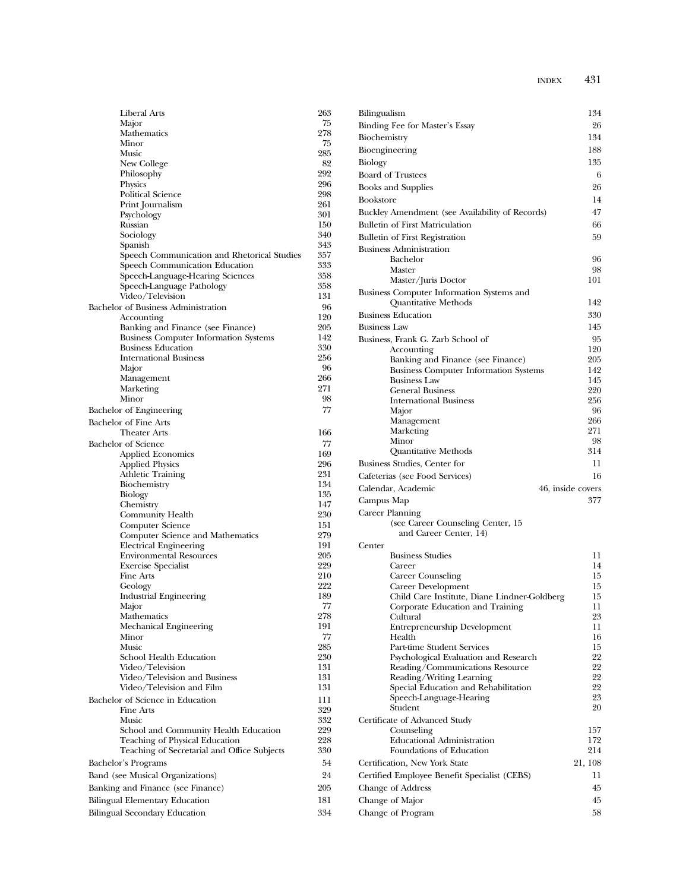| <b>Liberal Arts</b>                                                           | 263        |
|-------------------------------------------------------------------------------|------------|
| Major<br>Mathematics                                                          | 75<br>278  |
| Minor                                                                         | 75         |
| Music                                                                         | 285        |
| New College                                                                   | 82         |
| Philosophy                                                                    | 292<br>296 |
| Physics<br><b>Political Science</b>                                           | 298        |
| Print Journalism                                                              | 261        |
| Psychology                                                                    | 301        |
| Russian<br>Sociology                                                          | 150<br>340 |
| Spanish                                                                       | 343        |
| Speech Communication and Rhetorical Studies                                   | 357        |
| Speech Communication Education                                                | 333        |
| Speech-Language-Hearing Sciences                                              | 358<br>358 |
| Speech-Language Pathology<br>Video/Television                                 | 131        |
| Bachelor of Business Administration                                           | 96         |
| Accounting                                                                    | 120        |
| Banking and Finance (see Finance)                                             | 205        |
| <b>Business Computer Information Systems</b><br><b>Business Education</b>     | 142<br>330 |
| <b>International Business</b>                                                 | 256        |
| Major                                                                         | 96         |
| Management                                                                    | 266        |
| Marketing<br>Minor                                                            | 271<br>98  |
| Bachelor of Engineering                                                       | 77         |
| <b>Bachelor of Fine Arts</b>                                                  |            |
| <b>Theater Arts</b>                                                           | 166        |
| <b>Bachelor</b> of Science                                                    | 77         |
| <b>Applied Economics</b>                                                      | 169        |
| <b>Applied Physics</b>                                                        | 296<br>231 |
| <b>Athletic Training</b><br>Biochemistry                                      | 134        |
| Biology                                                                       | 135        |
| Chemistry                                                                     | 147        |
| Community Health                                                              | 230<br>151 |
| Computer Science<br>Computer Science and Mathematics                          | 279        |
| <b>Electrical Engineering</b>                                                 | 191        |
| <b>Environmental Resources</b>                                                | 205        |
| <b>Exercise Specialist</b><br><b>Fine Arts</b>                                | 229<br>210 |
| Geology                                                                       | 222        |
| Industrial Engineering                                                        | 189        |
| Major                                                                         | 77         |
| Mathematics                                                                   | 278        |
| Mechanical Engineering<br>Minor                                               | 191<br>77  |
| Music                                                                         | 285        |
| School Health Education                                                       | 230        |
| Video/Television                                                              | 131        |
| Video/Television and Business<br>Video/Television and Film                    | 131<br>131 |
| Bachelor of Science in Education                                              | 111        |
| Fine Arts                                                                     | 329        |
| Music                                                                         | 332        |
| School and Community Health Education                                         | 229        |
| Teaching of Physical Education<br>Teaching of Secretarial and Office Subjects | 228<br>330 |
| Bachelor's Programs                                                           | 54         |
| Band (see Musical Organizations)                                              | 24         |
| Banking and Finance (see Finance)                                             | 205        |
| Bilingual Elementary Education                                                | 181        |
| <b>Bilingual Secondary Education</b>                                          | 334        |
|                                                                               |            |

| Bilingualism                                                      | 134                               |
|-------------------------------------------------------------------|-----------------------------------|
| Binding Fee for Master's Essay                                    | 26                                |
| Biochemistry                                                      | 134                               |
| Bioengineering                                                    | 188                               |
| Biology                                                           | 135                               |
| <b>Board of Trustees</b>                                          | 6                                 |
| <b>Books and Supplies</b>                                         | 26                                |
| <b>Bookstore</b>                                                  | 14                                |
| Buckley Amendment (see Availability of Records)                   | 47                                |
| <b>Bulletin of First Matriculation</b>                            | 66                                |
| <b>Bulletin of First Registration</b>                             | 59                                |
| <b>Business Administration</b>                                    |                                   |
| Bachelor                                                          | 96                                |
| Master                                                            | 98<br>101                         |
| Master/Juris Doctor                                               |                                   |
| Business Computer Information Systems and<br>Quantitative Methods | 142                               |
| <b>Business Education</b>                                         | 330                               |
| <b>Business Law</b>                                               | 145                               |
|                                                                   | 95                                |
| Business, Frank G. Zarb School of<br>Accounting                   | 120                               |
| Banking and Finance (see Finance)                                 | 205                               |
| <b>Business Computer Information Systems</b>                      | 142                               |
| <b>Business Law</b>                                               | 145                               |
| <b>General Business</b>                                           | 220                               |
| <b>International Business</b><br>Major                            | 256<br>96                         |
| Management                                                        | 266                               |
| Marketing                                                         | 271                               |
| Minor                                                             | 98                                |
| Quantitative Methods                                              | 314                               |
| Business Studies, Center for                                      | 11                                |
| Cafeterias (see Food Services)                                    | 16                                |
| Calendar, Academic                                                | 46, inside covers                 |
| Campus Map                                                        | 377                               |
| Career Planning                                                   |                                   |
| (see Career Counseling Center, 15)                                |                                   |
| and Career Center, 14)                                            |                                   |
| Center<br><b>Business Studies</b>                                 | 11                                |
| Career                                                            | 14                                |
| Career Counseling                                                 | 15                                |
| Career Development                                                | 15                                |
| Child Care Institute, Diane Lindner-Goldberg                      | 15                                |
| Corporate Education and Training                                  | 11                                |
| Cultural<br><b>Entrepreneurship Development</b>                   | 23<br>11                          |
| Health                                                            | 16                                |
| Part-time Student Services                                        | 15                                |
| Psychological Evaluation and Research                             | 22                                |
| Reading/Communications Resource                                   | 22                                |
| Reading/Writing Learning<br>Special Education and Rehabilitation  | 22<br>22                          |
| Speech-Language-Hearing                                           | 23                                |
| Student                                                           | 20                                |
| Certificate of Advanced Study                                     |                                   |
| Counseling                                                        |                                   |
|                                                                   |                                   |
| <b>Educational Administration</b>                                 | 172                               |
| Foundations of Education                                          |                                   |
| Certification, New York State                                     |                                   |
| Certified Employee Benefit Specialist (CEBS)                      | 11                                |
| Change of Address                                                 | 45                                |
| Change of Major<br>Change of Program                              | 157<br>214<br>21, 108<br>45<br>58 |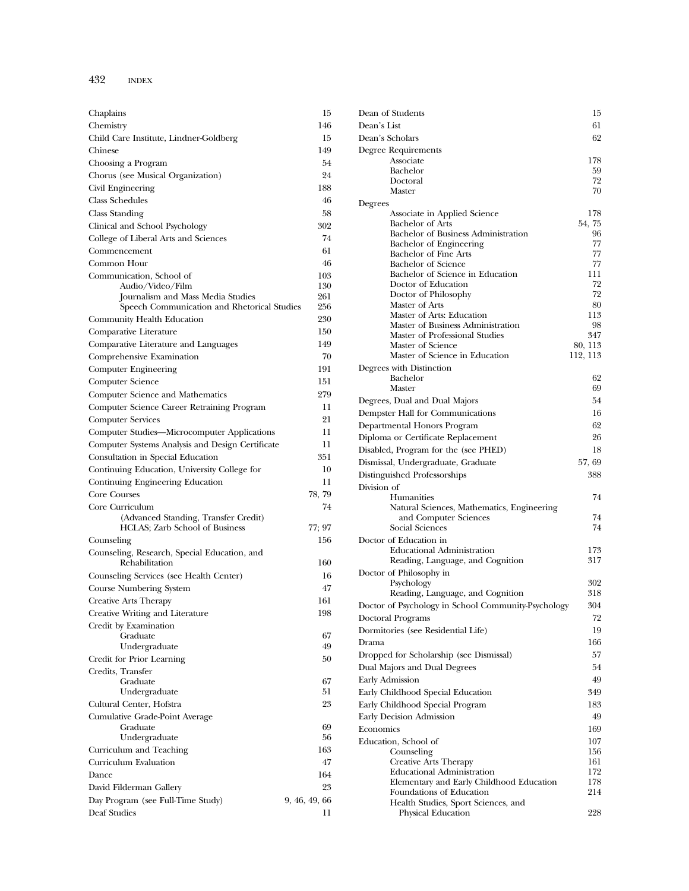| Chaplains                                                              | 15            |
|------------------------------------------------------------------------|---------------|
| Chemistry                                                              | 146           |
| Child Care Institute, Lindner-Goldberg                                 | 15            |
| Chinese                                                                | 149           |
| Choosing a Program                                                     | 54            |
| Chorus (see Musical Organization)                                      | 24            |
| Civil Engineering                                                      | 188           |
| <b>Class Schedules</b>                                                 | 46            |
| Class Standing                                                         | 58            |
| Clinical and School Psychology                                         | 302           |
| College of Liberal Arts and Sciences                                   | 74            |
| Commencement                                                           | 61            |
| Common Hour                                                            | 46            |
| Communication, School of                                               | 103           |
| Audio/Video/Film<br>Journalism and Mass Media Studies                  | 130<br>261    |
| Speech Communication and Rhetorical Studies                            | 256           |
| Community Health Education                                             | 230           |
| Comparative Literature                                                 | 150           |
| Comparative Literature and Languages                                   | 149           |
| Comprehensive Examination                                              | 70            |
| Computer Engineering                                                   | 191           |
| Computer Science                                                       | 151           |
| Computer Science and Mathematics                                       | 279           |
| Computer Science Career Retraining Program                             | 11            |
| <b>Computer Services</b>                                               | 21            |
| Computer Studies-Microcomputer Applications                            | 11            |
| Computer Systems Analysis and Design Certificate                       | 11            |
| Consultation in Special Education                                      | 351           |
| Continuing Education, University College for                           | $^{10}$       |
| Continuing Engineering Education                                       | 11            |
| Core Courses                                                           | 78, 79        |
| Core Curriculum                                                        | 74            |
| (Advanced Standing, Transfer Credit)<br>HCLAS; Zarb School of Business | 77; 97        |
| Counseling                                                             | 156           |
| Counseling, Research, Special Education, and<br>Rehabilitation         | 160           |
| Counseling Services (see Health Center)                                | 16            |
| Course Numbering System                                                | 47            |
| <b>Creative Arts Therapy</b>                                           | 161           |
| Creative Writing and Literature                                        | 198           |
| Credit by Examination                                                  |               |
| Graduate                                                               | 67            |
| Undergraduate                                                          | 49            |
| Credit for Prior Learning                                              | 50            |
| Credits, Transfer                                                      |               |
| Graduate<br>Undergraduate                                              | 67<br>51      |
| Cultural Center, Hofstra                                               | 23            |
| Cumulative Grade-Point Average                                         |               |
| Graduate                                                               | 69            |
| Undergraduate                                                          | 56            |
| Curriculum and Teaching                                                | 163           |
| Curriculum Evaluation                                                  | 47            |
| Dance                                                                  | 164           |
| David Filderman Gallery                                                | 23            |
| Day Program (see Full-Time Study)                                      | 9, 46, 49, 66 |
| Deaf Studies                                                           | 11            |

| Dean of Students                                               | 15           |
|----------------------------------------------------------------|--------------|
| Dean's List                                                    | 61           |
| Dean's Scholars                                                | 62           |
| Degree Requirements                                            |              |
| Associate                                                      | 178          |
| Bachelor                                                       | 59           |
| Doctoral                                                       | 72           |
| Master                                                         | 70           |
| Degrees                                                        |              |
| Associate in Applied Science                                   | 178          |
| <b>Bachelor</b> of Arts<br>Bachelor of Business Administration | 54, 75<br>96 |
| Bachelor of Engineering                                        | 77           |
| <b>Bachelor of Fine Arts</b>                                   | 77           |
| <b>Bachelor</b> of Science                                     | 77           |
| Bachelor of Science in Education                               | 111          |
| Doctor of Education                                            | 72           |
| Doctor of Philosophy                                           | 72           |
| Master of Arts                                                 | 80           |
| Master of Arts: Education<br>Master of Business Administration | 113<br>98    |
| Master of Professional Studies                                 | 347          |
| Master of Science                                              | 80, 113      |
| Master of Science in Education                                 | 112, 113     |
| Degrees with Distinction                                       |              |
| Bachelor                                                       | 62           |
| Master                                                         | 69           |
| Degrees, Dual and Dual Majors                                  | 54           |
| Dempster Hall for Communications                               | 16           |
| Departmental Honors Program                                    | 62           |
| Diploma or Certificate Replacement                             | 26           |
| Disabled, Program for the (see PHED)                           | 18           |
| Dismissal, Undergraduate, Graduate                             | 57, 69       |
|                                                                | 388          |
| Distinguished Professorships                                   |              |
| Division of<br>Humanities                                      | 74           |
| Natural Sciences, Mathematics, Engineering                     |              |
| and Computer Sciences                                          | 74           |
| Social Sciences                                                | 74           |
| Doctor of Education in                                         |              |
| <b>Educational Administration</b>                              | 173          |
| Reading, Language, and Cognition                               | 317          |
| Doctor of Philosophy in                                        |              |
| Psychology                                                     | 302          |
| Reading, Language, and Cognition                               | 318          |
| Doctor of Psychology in School Community-Psychology            | 304          |
| Doctoral Programs                                              | 72           |
| Dormitories (see Residential Life)                             | 19           |
| Drama                                                          | 166          |
| Dropped for Scholarship (see Dismissal)                        | 57           |
| Dual Majors and Dual Degrees                                   | 54           |
| <b>Early Admission</b>                                         | 49           |
| Early Childhood Special Education                              | 349          |
| Early Childhood Special Program                                | 183          |
| Early Decision Admission                                       | 49           |
|                                                                |              |
| Economics                                                      | 169          |
| Education, School of                                           | 107<br>156   |
| Counseling<br>Creative Arts Therapy                            | 161          |
| <b>Educational Administration</b>                              | 172          |
| Elementary and Early Childhood Education                       | 178          |
| Foundations of Education                                       | 214          |
| Health Studies, Sport Sciences, and                            |              |
| Physical Education                                             | 228          |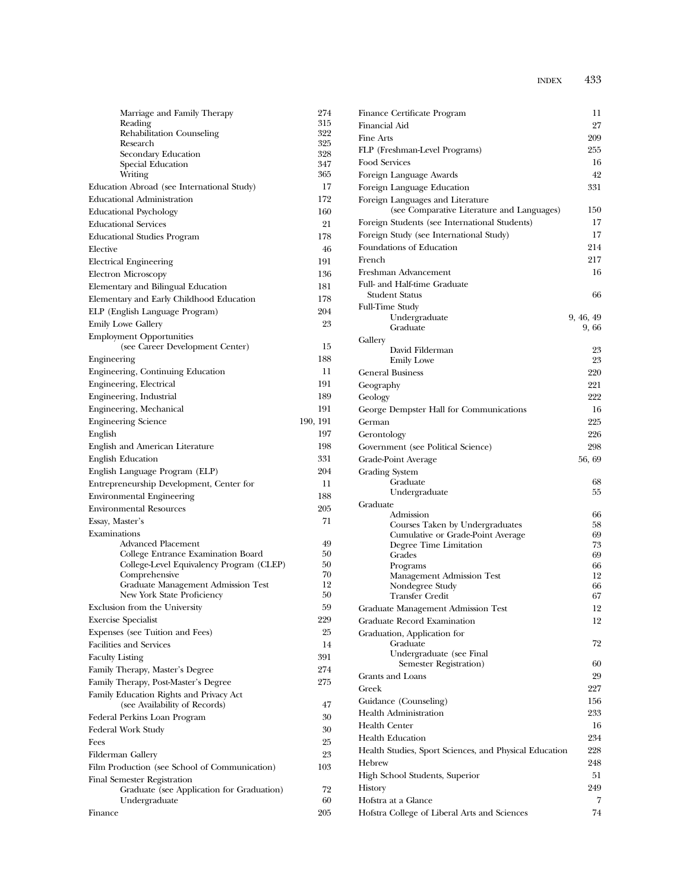| Marriage and Family Therapy                                                    | 274        |
|--------------------------------------------------------------------------------|------------|
| Reading                                                                        | 315        |
| Rehabilitation Counseling                                                      | 322        |
| Research<br>Secondary Education                                                | 325<br>328 |
| Special Education                                                              | 347        |
| Writing                                                                        | 365        |
| Education Abroad (see International Study)                                     | 17         |
| <b>Educational Administration</b>                                              | 172        |
| <b>Educational Psychology</b>                                                  | 160        |
| <b>Educational Services</b>                                                    | 21         |
| <b>Educational Studies Program</b>                                             | 178        |
| Elective                                                                       | 46         |
| <b>Electrical Engineering</b>                                                  | 191        |
| <b>Electron Microscopy</b>                                                     | 136        |
| Elementary and Bilingual Education                                             | 181        |
| Elementary and Early Childhood Education                                       | 178        |
| ELP (English Language Program)                                                 | 204        |
| <b>Emily Lowe Gallery</b>                                                      | 23         |
| <b>Employment Opportunities</b>                                                |            |
| (see Career Development Center)                                                | 15         |
| Engineering                                                                    | 188        |
| Engineering, Continuing Education                                              | 11         |
| Engineering, Electrical                                                        | 191        |
| Engineering, Industrial                                                        | 189        |
| Engineering, Mechanical                                                        | 191        |
| <b>Engineering Science</b>                                                     | 190, 191   |
| English                                                                        | 197        |
| English and American Literature                                                | 198        |
| <b>English Education</b>                                                       | 331        |
| English Language Program (ELP)                                                 | 204        |
| Entrepreneurship Development, Center for                                       | 11         |
| <b>Environmental Engineering</b>                                               | 188        |
| <b>Environmental Resources</b>                                                 | 205        |
| Essay, Master's                                                                | 71         |
| Examinations                                                                   |            |
| Advanced Placement                                                             | 49         |
| College Entrance Examination Board<br>College-Level Equivalency Program (CLEP) | 50<br>50   |
| Comprehensive                                                                  | 70         |
| Graduate Management Admission Test                                             | 12         |
| New York State Proficiency                                                     | 50         |
| Exclusion from the University                                                  | 59         |
| <b>Exercise Specialist</b>                                                     | 229        |
| Expenses (see Tuition and Fees)                                                | 25         |
| <b>Facilities and Services</b>                                                 | 14         |
| <b>Faculty Listing</b>                                                         | 391        |
| Family Therapy, Master's Degree                                                | 274        |
| Family Therapy, Post-Master's Degree                                           | 275        |
| Family Education Rights and Privacy Act                                        |            |
| (see Availability of Records)                                                  | 47         |
| Federal Perkins Loan Program                                                   | 30         |
| Federal Work Study                                                             | 30         |
| Fees                                                                           | 25         |
| Filderman Gallery                                                              | 23         |
| Film Production (see School of Communication)                                  | 103        |
| Final Semester Registration                                                    |            |
| Graduate (see Application for Graduation)<br>Undergraduate                     | 72<br>60   |
| Finance                                                                        | 205        |
|                                                                                |            |

| Finance Certificate Program                            | 11        |
|--------------------------------------------------------|-----------|
| Financial Aid                                          | 27        |
| <b>Fine Arts</b>                                       | 209       |
| FLP (Freshman-Level Programs)                          | 255       |
| Food Services                                          | 16        |
| Foreign Language Awards                                | 42        |
| Foreign Language Education                             | 331       |
| Foreign Languages and Literature                       |           |
| (see Comparative Literature and Languages)             | 150       |
| Foreign Students (see International Students)          | 17        |
| Foreign Study (see International Study)                | 17        |
| Foundations of Education                               | 214       |
| French                                                 | 217       |
| Freshman Advancement                                   | 16        |
| Full- and Half-time Graduate                           |           |
| Student Status                                         | 66        |
| <b>Full-Time Study</b>                                 |           |
| Undergraduate                                          | 9, 46, 49 |
| Graduate                                               | 9, 66     |
| Gallery                                                |           |
| David Filderman                                        | 23        |
| <b>Emily Lowe</b>                                      | 23        |
| <b>General Business</b>                                | 220       |
| Geography                                              | 221       |
| Geology                                                | 222       |
| George Dempster Hall for Communications                | 16        |
| German                                                 | 225       |
| Gerontology                                            | 226       |
| Government (see Political Science)                     | 298       |
| Grade-Point Average                                    | 56, 69    |
| Grading System                                         |           |
| Graduate                                               | 68        |
| Undergraduate                                          | 55        |
| Graduate                                               |           |
| Admission                                              | 66        |
| Courses Taken by Undergraduates                        | 58        |
| Cumulative or Grade-Point Average                      | 69        |
| Degree Time Limitation<br>Grades                       | 73<br>69  |
| Programs                                               | 66        |
| Management Admission Test                              | 12        |
| Nondegree Study                                        | 66        |
| <b>Transfer Credit</b>                                 | 67        |
| Graduate Management Admission Test                     | 12        |
| Graduate Record Examination                            | 12        |
| Graduation, Application for                            |           |
| Graduate                                               | 72        |
| Undergraduate (see Final                               |           |
| Semester Registration)                                 | 60        |
| Grants and Loans                                       | 29        |
| Greek                                                  | 227       |
| Guidance (Counseling)                                  | 156       |
| <b>Health Administration</b>                           | 233       |
| Health Center                                          | 16        |
| <b>Health Education</b>                                | 234       |
| Health Studies, Sport Sciences, and Physical Education | 228       |
| Hebrew                                                 | 248       |
| High School Students, Superior                         | 51        |
| History                                                | 249       |
| Hofstra at a Glance                                    | 7         |
| Hofstra College of Liberal Arts and Sciences           | 74        |
|                                                        |           |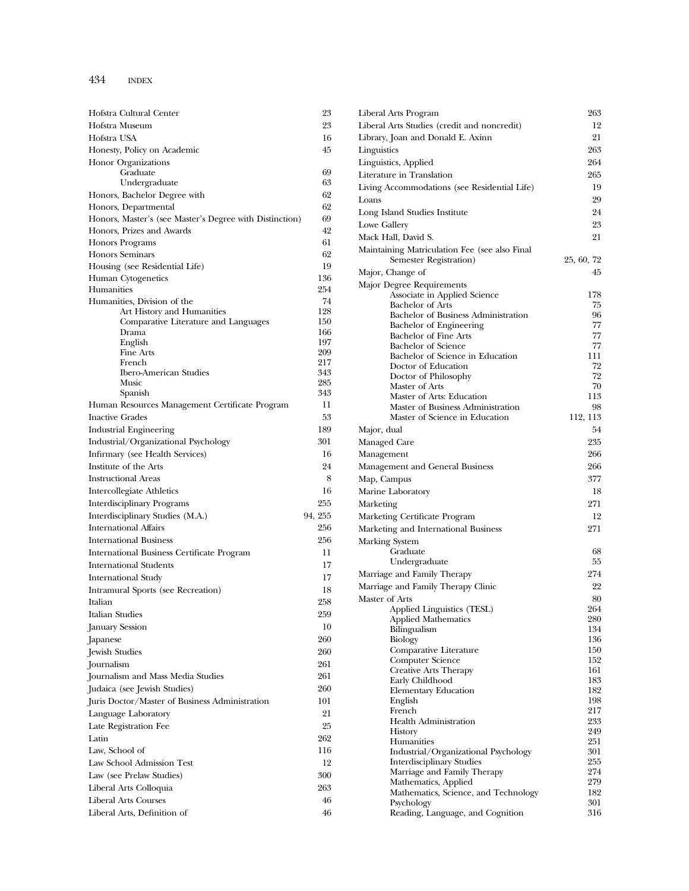| Hofstra Cultural Center                                   | 23         |
|-----------------------------------------------------------|------------|
| Hofstra Museum                                            | 23         |
| Hofstra USA                                               | 16         |
| Honesty, Policy on Academic                               | 45         |
| <b>Honor Organizations</b>                                |            |
| Graduate                                                  | 69         |
| Undergraduate                                             | 63         |
| Honors, Bachelor Degree with                              | 62         |
| Honors, Departmental                                      | 62         |
| Honors, Master's (see Master's Degree with Distinction)   | 69         |
| Honors, Prizes and Awards                                 | 42         |
| <b>Honors Programs</b>                                    | 61         |
| <b>Honors Seminars</b>                                    | 62         |
| Housing (see Residential Life)                            | 19         |
| Human Cytogenetics                                        | 136        |
| Humanities                                                | 254        |
| Humanities, Division of the<br>Art History and Humanities | 74<br>128  |
| Comparative Literature and Languages                      | 150        |
| Drama                                                     | 166        |
| English                                                   | 197        |
| Fine Arts                                                 | 209        |
| French<br><b>Ibero-American Studies</b>                   | 217        |
| Music                                                     | 343<br>285 |
| Spanish                                                   | 343        |
| Human Resources Management Certificate Program            | 11         |
| <b>Inactive Grades</b>                                    | 53         |
| <b>Industrial Engineering</b>                             | 189        |
| Industrial/Organizational Psychology                      | 301        |
| Infirmary (see Health Services)                           | 16         |
| Institute of the Arts                                     | 24         |
| <b>Instructional Areas</b>                                | 8          |
| Intercollegiate Athletics                                 | 16         |
| <b>Interdisciplinary Programs</b>                         | 255        |
| Interdisciplinary Studies (M.A.)                          | 94, 255    |
| <b>International Affairs</b>                              | 256        |
| <b>International Business</b>                             | 256        |
| International Business Certificate Program                | 11         |
| <b>International Students</b>                             | 17         |
|                                                           | 17         |
| <b>International Study</b>                                |            |
| Intramural Sports (see Recreation)                        | 18<br>258  |
| Italian                                                   |            |
| Italian Studies                                           | 259        |
| January Session                                           | 10         |
| Japanese                                                  | 260        |
| Jewish Studies                                            | 260        |
| Journalism                                                | 261        |
| Journalism and Mass Media Studies                         | 261        |
| Judaica (see Jewish Studies)                              | 260        |
| Juris Doctor/Master of Business Administration            | 101        |
| Language Laboratory                                       | 21         |
| Late Registration Fee                                     | 25         |
| Latin                                                     | 262        |
| Law, School of                                            | 116        |
| Law School Admission Test                                 | 12         |
| Law (see Prelaw Studies)                                  | 300        |
| Liberal Arts Colloquia                                    | 263        |
| <b>Liberal Arts Courses</b>                               | 46         |
| Liberal Arts, Definition of                               | 46         |

| Liberal Arts Program                                                    | 263        |
|-------------------------------------------------------------------------|------------|
| Liberal Arts Studies (credit and noncredit)                             | 12         |
| Library, Joan and Donald E. Axinn                                       | 21         |
| Linguistics                                                             | 263        |
| Linguistics, Applied                                                    | 264        |
| Literature in Translation                                               | 265        |
| Living Accommodations (see Residential Life)                            | 19         |
| Loans                                                                   | 29         |
| Long Island Studies Institute                                           | 24         |
| Lowe Gallery                                                            | 23         |
| Mack Hall, David S.                                                     | 21         |
| Maintaining Matriculation Fee (see also Final<br>Semester Registration) | 25, 60, 72 |
| Major, Change of                                                        | 45         |
| Major Degree Requirements                                               |            |
| Associate in Applied Science                                            | 178        |
| <b>Bachelor of Arts</b>                                                 | 75         |
| Bachelor of Business Administration                                     | 96<br>77   |
| Bachelor of Engineering<br><b>Bachelor of Fine Arts</b>                 | 77         |
| <b>Bachelor</b> of Science                                              | 77         |
| Bachelor of Science in Education                                        | 111        |
| Doctor of Education                                                     | 72         |
| Doctor of Philosophy                                                    | 72         |
| Master of Arts<br>Master of Arts: Education                             | 70<br>113  |
| Master of Business Administration                                       | 98         |
| Master of Science in Education                                          | 112, 113   |
| Major, dual                                                             | 54         |
| Managed Care                                                            | 235        |
| Management                                                              | 266        |
| Management and General Business                                         | 266        |
| Map, Campus                                                             | 377        |
| Marine Laboratory                                                       | 18         |
| Marketing                                                               | 271        |
| Marketing Certificate Program                                           | 12         |
| Marketing and International Business                                    | 271        |
| Marking System<br>Graduate                                              | 68         |
| Undergraduate                                                           | 55         |
| Marriage and Family Therapy                                             | 274        |
| Marriage and Family Therapy Clinic                                      | 22         |
| Master of Arts                                                          | 80         |
| Applied Linguistics (TESL)                                              | 264        |
| <b>Applied Mathematics</b>                                              | 280        |
| Bilingualism                                                            | 134        |
| Biology<br>Comparative Literature                                       | 136<br>150 |
| <b>Computer Science</b>                                                 | 152        |
| <b>Creative Arts Therapy</b>                                            | 161        |
| Early Childhood                                                         | 183        |
| <b>Elementary Education</b>                                             | 182        |
| English<br>French                                                       | 198<br>217 |
| <b>Health Administration</b>                                            | 233        |
| History                                                                 | 249        |
| Humanities                                                              | 251        |
| Industrial/Organizational Psychology                                    | 301        |
| <b>Interdisciplinary Studies</b>                                        | 255<br>274 |
| Marriage and Family Therapy<br>Mathematics, Applied                     | 279        |
| Mathematics, Science, and Technology                                    | 182        |
| Psychology                                                              | 301        |
| Reading, Language, and Cognition                                        | 316        |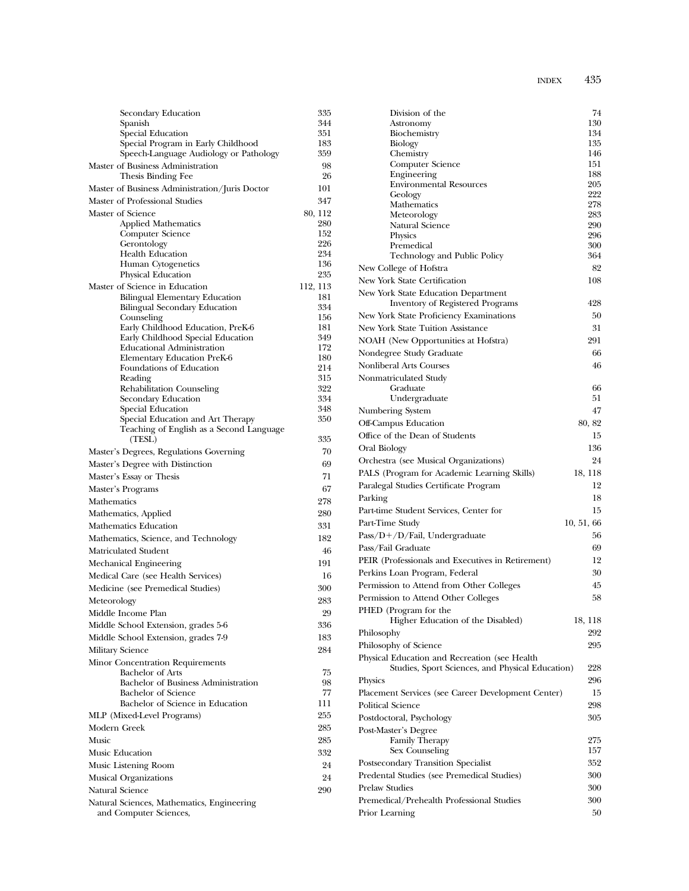| Secondary Education                                                          | 335        |
|------------------------------------------------------------------------------|------------|
| Spanish                                                                      | 344        |
| Special Education                                                            | 351<br>183 |
| Special Program in Early Childhood<br>Speech-Language Audiology or Pathology | 359        |
| Master of Business Administration                                            | 98         |
| Thesis Binding Fee                                                           | 26         |
| Master of Business Administration/Juris Doctor                               | 101        |
| Master of Professional Studies                                               | 347        |
| Master of Science                                                            | 80, 112    |
| <b>Applied Mathematics</b>                                                   | 280        |
| Computer Science                                                             | 152        |
| Gerontology                                                                  | 226        |
| <b>Health Education</b>                                                      | 234        |
| Human Cytogenetics<br>Physical Education                                     | 136<br>235 |
| Master of Science in Education                                               | 112, 113   |
| Bilingual Elementary Education                                               | 181        |
| <b>Bilingual Secondary Education</b>                                         | 334        |
| Counseling                                                                   | 156        |
| Early Childhood Education, PreK-6                                            | 181        |
| Early Childhood Special Education                                            | 349        |
| <b>Educational Administration</b>                                            | 172        |
| Elementary Education PreK-6<br>Foundations of Education                      | 180<br>214 |
| Reading                                                                      | 315        |
| Rehabilitation Counseling                                                    | 322        |
| <b>Secondary Education</b>                                                   | 334        |
| Special Education                                                            | 348        |
| Special Education and Art Therapy                                            | 350        |
| Teaching of English as a Second Language                                     |            |
| (TESL)                                                                       | 335<br>70  |
| Master's Degrees, Regulations Governing                                      | 69         |
| Master's Degree with Distinction                                             | 71         |
| Master's Essay or Thesis                                                     | 67         |
| Master's Programs<br>Mathematics                                             | 278        |
| Mathematics, Applied                                                         | 280        |
| Mathematics Education                                                        | 331        |
|                                                                              | 182        |
| Mathematics, Science, and Technology<br>Matriculated Student                 | 46         |
|                                                                              | 191        |
| Mechanical Engineering                                                       |            |
| Medical Care (see Health Services)                                           | 16<br>300  |
| Medicine (see Premedical Studies)                                            | 283        |
| Meteorology                                                                  |            |
| Middle Income Plan                                                           | 29         |
| Middle School Extension, grades 5-6                                          | 336        |
| Middle School Extension, grades 7-9                                          | 183        |
| Military Science                                                             | 284        |
| Minor Concentration Requirements<br><b>Bachelor</b> of Arts                  | 75         |
| Bachelor of Business Administration                                          | 98         |
| <b>Bachelor of Science</b>                                                   | 77         |
| Bachelor of Science in Education                                             | 111        |
| MLP (Mixed-Level Programs)                                                   | 255        |
| Modern Greek                                                                 | 285        |
| Music                                                                        | 285        |
| Music Education                                                              | 332        |
| Music Listening Room                                                         | 24         |
| <b>Musical Organizations</b>                                                 | 24         |
| Natural Science                                                              | 290        |
| Natural Sciences, Mathematics, Engineering                                   |            |
| and Computer Sciences,                                                       |            |

| ice                 | 77  | Place  |
|---------------------|-----|--------|
| nce in Education    | 111 | Politi |
| ams)                | 255 | Postc  |
|                     | 285 | Post-  |
|                     | 285 |        |
|                     | 332 |        |
|                     | 24  | Posts  |
|                     | 24  | Pred   |
|                     | 290 | Prela  |
| natics, Engineering |     | Prem   |
| s,                  |     | Prior  |

| Division of the                                                                                    | 74             |
|----------------------------------------------------------------------------------------------------|----------------|
| Astronomy                                                                                          | 130            |
| Biochemistry                                                                                       | 134<br>135     |
| Biology<br>Chemistry                                                                               | 146            |
| <b>Computer Science</b>                                                                            | 151            |
| Engineering                                                                                        | 188            |
| <b>Environmental Resources</b>                                                                     | 205            |
| Geology                                                                                            | 222<br>278     |
| Mathematics<br>Meteorology                                                                         | 283            |
| Natural Science                                                                                    | 290            |
| Physics                                                                                            | 296            |
| Premedical                                                                                         | 300            |
| Technology and Public Policy                                                                       | 364            |
| New College of Hofstra                                                                             | 82             |
| New York State Certification                                                                       | 108            |
| New York State Education Department                                                                | 428            |
| <b>Inventory of Registered Programs</b>                                                            |                |
| New York State Proficiency Examinations                                                            | 50             |
| New York State Tuition Assistance                                                                  | 31             |
| NOAH (New Opportunities at Hofstra)                                                                | 291            |
| Nondegree Study Graduate                                                                           | 66             |
| <b>Nonliberal Arts Courses</b>                                                                     | 46             |
| Nonmatriculated Study                                                                              |                |
| Graduate<br>Undergraduate                                                                          | 66<br>51       |
| Numbering System                                                                                   | 47             |
| <b>Off-Campus Education</b>                                                                        | 80, 82         |
| Office of the Dean of Students                                                                     | 15             |
| Oral Biology                                                                                       | 136            |
| Orchestra (see Musical Organizations)                                                              | 24             |
| PALS (Program for Academic Learning Skills)                                                        | 18, 118        |
| Paralegal Studies Certificate Program                                                              | 12             |
|                                                                                                    | 18             |
| Parking                                                                                            | 15             |
| Part-time Student Services, Center for                                                             |                |
| Part-Time Study                                                                                    | 10, 51, 66     |
| Pass/D+/D/Fail, Undergraduate                                                                      | 56             |
| Pass/Fail Graduate                                                                                 | 69             |
| PEIR (Professionals and Executives in Retirement)                                                  | 12             |
| Perkins Loan Program, Federal                                                                      | 30             |
| Permission to Attend from Other Colleges                                                           | 45             |
| Permission to Attend Other Colleges                                                                | 58             |
| PHED (Program for the<br>Higher Education of the Disabled)                                         |                |
| Philosophy                                                                                         | 18, 118<br>292 |
|                                                                                                    | 295            |
| Philosophy of Science                                                                              |                |
| Physical Education and Recreation (see Health)<br>Studies, Sport Sciences, and Physical Education) | 228            |
| Physics                                                                                            | 296            |
| Placement Services (see Career Development Center)                                                 | 15             |
| Political Science                                                                                  | 298            |
|                                                                                                    | 305            |
| Postdoctoral, Psychology<br>Post-Master's Degree                                                   |                |
| <b>Family Therapy</b>                                                                              | 275            |
| Sex Counseling                                                                                     | 157            |
| Postsecondary Transition Specialist                                                                | 352            |
| Predental Studies (see Premedical Studies)                                                         | 300            |
| <b>Prelaw Studies</b>                                                                              | 300            |
| Premedical/Prehealth Professional Studies                                                          | 300            |
| Prior Learning                                                                                     | 50             |
|                                                                                                    |                |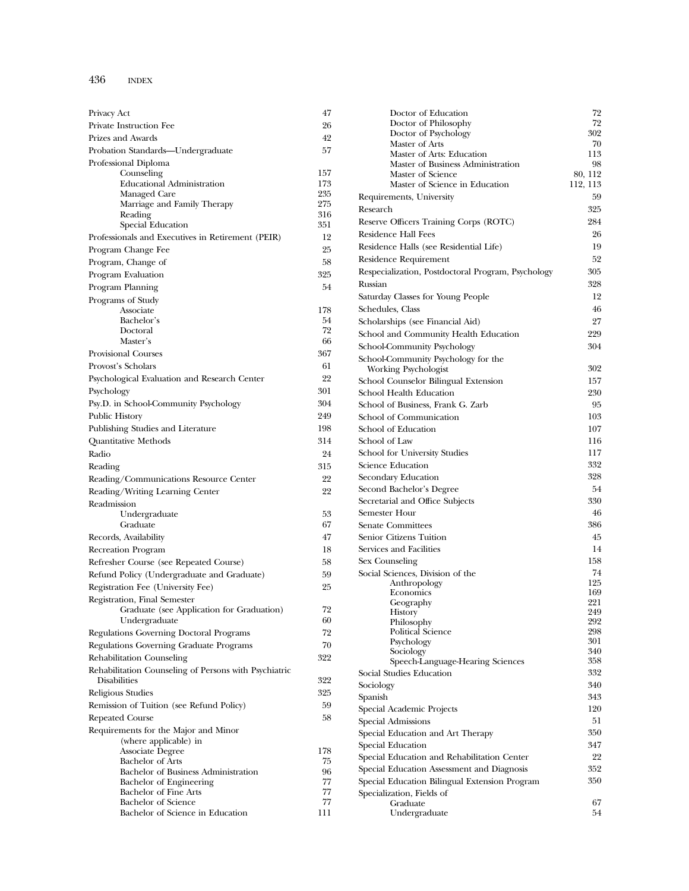| Privacy Act                                                    | 47         |
|----------------------------------------------------------------|------------|
| Private Instruction Fee                                        | 26         |
| Prizes and Awards                                              | 42         |
| Probation Standards—Undergraduate                              | 57         |
| Professional Diploma                                           |            |
| Counseling                                                     | 157        |
| <b>Educational Administration</b>                              | 173        |
| Managed Care                                                   | 235<br>275 |
| Marriage and Family Therapy<br>Reading                         | 316        |
| Special Education                                              | 351        |
| Professionals and Executives in Retirement (PEIR)              | 12         |
| Program Change Fee                                             | 25         |
| Program, Change of                                             | 58         |
| Program Evaluation                                             | 325        |
|                                                                | 54         |
| Program Planning                                               |            |
| Programs of Study<br>Associate                                 | 178        |
| Bachelor's                                                     | 54         |
| Doctoral                                                       | 72         |
| Master's                                                       | 66         |
| <b>Provisional Courses</b>                                     | 367        |
| Provost's Scholars                                             | 61         |
| Psychological Evaluation and Research Center                   | 22         |
| Psychology                                                     | 301        |
|                                                                | 304        |
| Psy.D. in School-Community Psychology                          |            |
| Public History                                                 | 249        |
| Publishing Studies and Literature                              | 198        |
| Quantitative Methods                                           | 314        |
| Radio                                                          | 24         |
| Reading                                                        | 315        |
| Reading/Communications Resource Center                         | 22         |
| Reading/Writing Learning Center                                | 22         |
| Readmission                                                    |            |
| Undergraduate                                                  | 53         |
| Graduate                                                       | 67         |
| Records, Availability                                          | 47         |
| Recreation Program                                             | 18         |
| Refresher Course (see Repeated Course)                         | 58         |
| Refund Policy (Undergraduate and Graduate)                     | 59         |
| Registration Fee (University Fee)                              | 25         |
| Registration, Final Semester                                   |            |
| Graduate (see Application for Graduation)                      | 72         |
| Undergraduate                                                  | 60         |
| Regulations Governing Doctoral Programs                        | 72         |
| Regulations Governing Graduate Programs                        | 70         |
| <b>Rehabilitation Counseling</b>                               | 322        |
| Rehabilitation Counseling of Persons with Psychiatric          |            |
| Disabilities                                                   | 322        |
| Religious Studies                                              | 325        |
| Remission of Tuition (see Refund Policy)                       | 59         |
| <b>Repeated Course</b>                                         | 58         |
| Requirements for the Major and Minor                           |            |
| (where applicable) in                                          |            |
| <b>Associate Degree</b>                                        | 178        |
| <b>Bachelor of Arts</b>                                        | 75         |
| Bachelor of Business Administration                            | 96         |
| Bachelor of Engineering                                        | 77         |
| <b>Bachelor of Fine Arts</b>                                   | 77         |
| <b>Bachelor</b> of Science<br>Bachelor of Science in Education | 77<br>111  |
|                                                                |            |

| Doctor of Education                                | 72         |
|----------------------------------------------------|------------|
| Doctor of Philosophy                               | 72         |
| Doctor of Psychology                               | 302        |
| Master of Arts<br>Master of Arts: Education        | 70<br>113  |
| Master of Business Administration                  | 98         |
| Master of Science                                  | 80, 112    |
| Master of Science in Education                     | 112, 113   |
| Requirements, University                           | 59         |
| Research                                           | 325        |
| Reserve Officers Training Corps (ROTC)             | 284        |
| <b>Residence Hall Fees</b>                         | 26         |
| Residence Halls (see Residential Life)             | 19         |
|                                                    |            |
| Residence Requirement                              | 52         |
| Respecialization, Postdoctoral Program, Psychology | 305        |
| Russian                                            | 328        |
| Saturday Classes for Young People                  | 12         |
| Schedules, Class                                   | 46         |
| Scholarships (see Financial Aid)                   | 27         |
| School and Community Health Education              | 229        |
| School-Community Psychology                        | 304        |
| School-Community Psychology for the                |            |
| <b>Working Psychologist</b>                        | 302        |
| School Counselor Bilingual Extension               | 157        |
| School Health Education                            | 230        |
| School of Business, Frank G. Zarb                  | 95         |
| School of Communication                            | 103        |
| School of Education                                | 107        |
| School of Law                                      | 116        |
| School for University Studies                      | 117        |
| <b>Science Education</b>                           | 332        |
| Secondary Education                                | 328        |
| Second Bachelor's Degree                           | 54         |
| Secretarial and Office Subjects                    | 330        |
| Semester Hour                                      | 46         |
| <b>Senate Committees</b>                           | 386        |
| Senior Citizens Tuition                            | 45         |
| Services and Facilities                            | 14         |
| Sex Counseling                                     | 158        |
| Social Sciences, Division of the                   | 74         |
| Anthropology                                       | 125        |
| Economics                                          | 169        |
| Geography                                          | 221        |
| History                                            | 249        |
| Philosophy<br>Political Science                    | 292<br>298 |
| Psychology                                         | 301        |
| Sociology                                          | 340        |
| Speech-Language-Hearing Sciences                   | 358        |
| Social Studies Education                           | 332        |
| Sociology                                          | 340        |
| Spanish                                            | 343        |
| Special Academic Projects                          | 120        |
| <b>Special Admissions</b>                          | 51         |
| Special Education and Art Therapy                  | 350        |
| Special Education                                  | 347        |
| Special Education and Rehabilitation Center        | 22         |
| Special Education Assessment and Diagnosis         | 352        |
| Special Education Bilingual Extension Program      | 350        |
| Specialization, Fields of                          |            |
| Graduate                                           | 67         |
| Undergraduate                                      | 54         |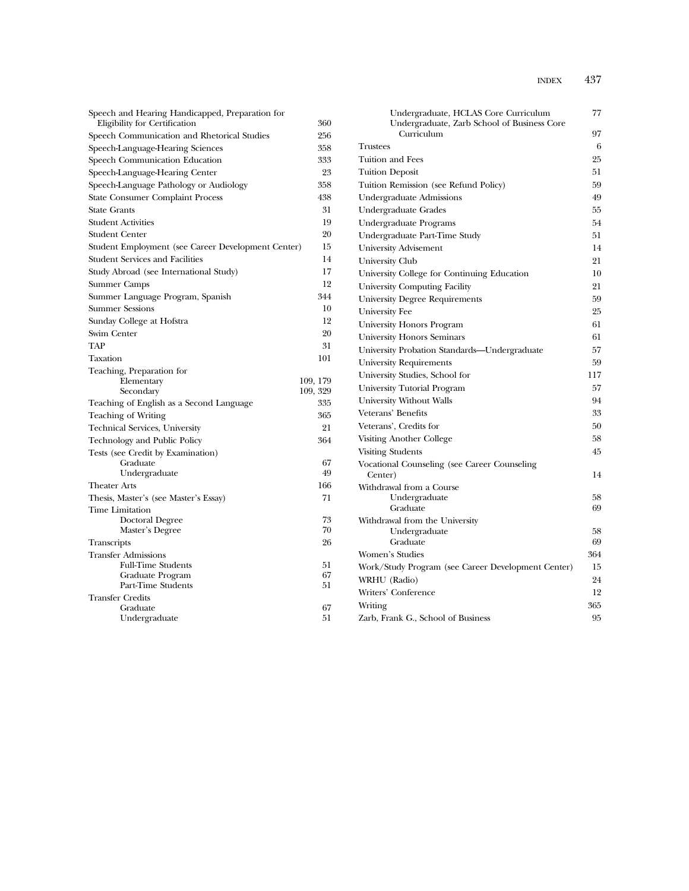| Speech and Hearing Handicapped, Preparation for<br>Eligibility for Certification | 360       | Undergraduate, HCLAS Core Curriculum<br>Undergraduate, Zarb School of Business Core | 77  |
|----------------------------------------------------------------------------------|-----------|-------------------------------------------------------------------------------------|-----|
| Speech Communication and Rhetorical Studies                                      | 256       | Curriculum                                                                          | 97  |
| Speech-Language-Hearing Sciences                                                 | 358       | <b>Trustees</b>                                                                     | 6   |
| Speech Communication Education                                                   | 333       | Tuition and Fees                                                                    | 25  |
| Speech-Language-Hearing Center                                                   | 23        | <b>Tuition Deposit</b>                                                              | 51  |
| Speech-Language Pathology or Audiology                                           | 358       | Tuition Remission (see Refund Policy)                                               | 59  |
| <b>State Consumer Complaint Process</b>                                          | 438       | Undergraduate Admissions                                                            | 49  |
| <b>State Grants</b>                                                              | 31        | Undergraduate Grades                                                                | 55  |
| <b>Student Activities</b>                                                        | 19        | Undergraduate Programs                                                              | 54  |
| Student Center                                                                   | 20        | Undergraduate Part-Time Study                                                       | 51  |
| Student Employment (see Career Development Center)                               | 15        | University Advisement                                                               | 14  |
| <b>Student Services and Facilities</b>                                           | 14        | University Club                                                                     | 21  |
| Study Abroad (see International Study)                                           | 17        | University College for Continuing Education                                         | 10  |
| <b>Summer Camps</b>                                                              | 12        | University Computing Facility                                                       | 21  |
| Summer Language Program, Spanish                                                 | 344       | <b>University Degree Requirements</b>                                               | 59  |
| <b>Summer Sessions</b>                                                           | 10        | University Fee                                                                      | 25  |
| Sunday College at Hofstra                                                        | 12        | University Honors Program                                                           | 61  |
| Swim Center                                                                      | 20        | <b>University Honors Seminars</b>                                                   | 61  |
| <b>TAP</b>                                                                       | 31        | University Probation Standards—Undergraduate                                        | 57  |
| Taxation                                                                         | 101       | University Requirements                                                             | 59  |
| Teaching, Preparation for                                                        |           | University Studies, School for                                                      | 117 |
| Elementary                                                                       | 109, 179  | University Tutorial Program                                                         | 57  |
| Secondary                                                                        | 109, 329  | University Without Walls                                                            | 94  |
| Teaching of English as a Second Language                                         | 335       | Veterans' Benefits                                                                  | 33  |
| Teaching of Writing                                                              | 365       | Veterans', Credits for                                                              | 50  |
| Technical Services, University                                                   | 21<br>364 | Visiting Another College                                                            | 58  |
| Technology and Public Policy                                                     |           | <b>Visiting Students</b>                                                            | 45  |
| Tests (see Credit by Examination)<br>Graduate                                    | 67        | Vocational Counseling (see Career Counseling                                        |     |
| Undergraduate                                                                    | 49        | Center)                                                                             | 14  |
| <b>Theater Arts</b>                                                              | 166       | Withdrawal from a Course                                                            |     |
| Thesis, Master's (see Master's Essay)                                            | 71        | Undergraduate                                                                       | 58  |
| Time Limitation                                                                  |           | Graduate                                                                            | 69  |
| Doctoral Degree                                                                  | 73        | Withdrawal from the University                                                      |     |
| Master's Degree                                                                  | 70        | Undergraduate                                                                       | 58  |
| Transcripts                                                                      | 26        | Graduate                                                                            | 69  |
| <b>Transfer Admissions</b>                                                       |           | Women's Studies                                                                     | 364 |
| <b>Full-Time Students</b><br>Graduate Program                                    | 51<br>67  | Work/Study Program (see Career Development Center)                                  | 15  |
| Part-Time Students                                                               | 51        | WRHU (Radio)                                                                        | 24  |
| <b>Transfer Credits</b>                                                          |           | Writers' Conference                                                                 | 12  |
| Graduate                                                                         | 67        | Writing                                                                             | 365 |
| Undergraduate                                                                    | 51        | Zarb, Frank G., School of Business                                                  | 95  |